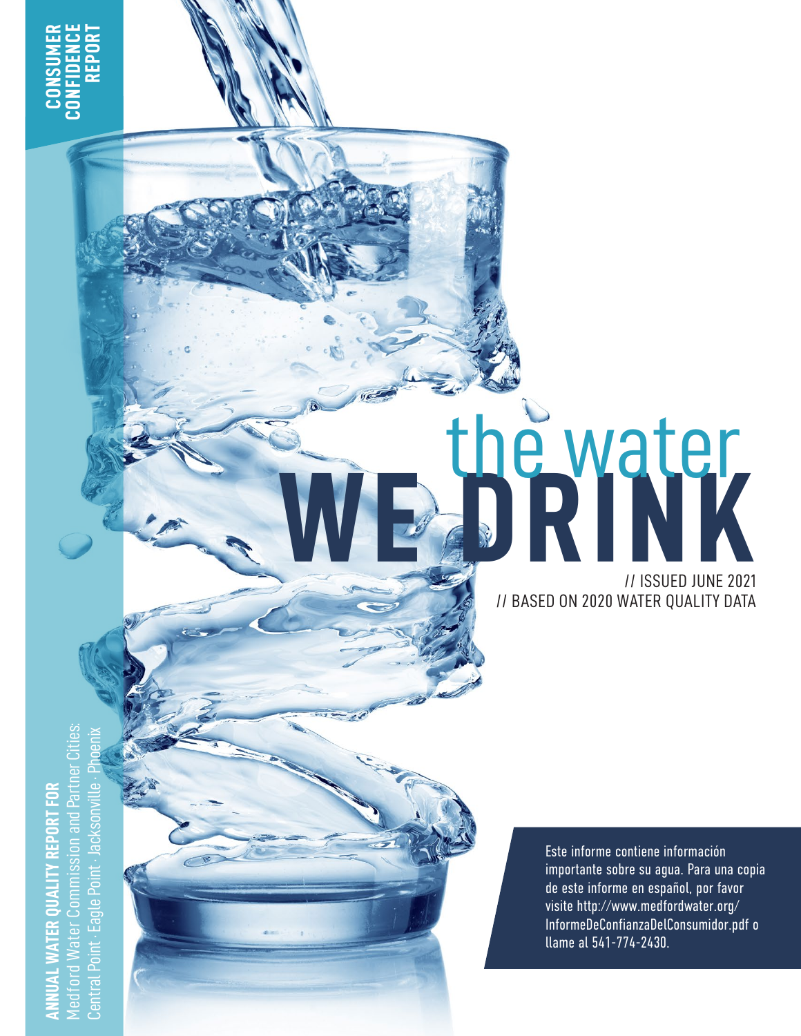WE DRINK // ISSUED JUNE 2021 // BASED ON 2020 WATER QUALITY DATA

the water

Medford Water Commission and Partner Cities: Central Point · Eagle Point · Jacksonville · Phoenix tner **ANNUAL WATER QUALITY REPORT FOR /REPORT** ssion and - Eagle Po later central

Este informe contiene información importante sobre su agua. Para una copia de este informe en español, por favor visite [http://www.medfordwater.org/](http://www.medfordwater.org/InformeDeConfianzaDelConsumidor.pdf) [InformeDeConfianzaDelConsumidor.pdf](http://www.medfordwater.org/InformeDeConfianzaDelConsumidor.pdf) o llame al 541-774-2430.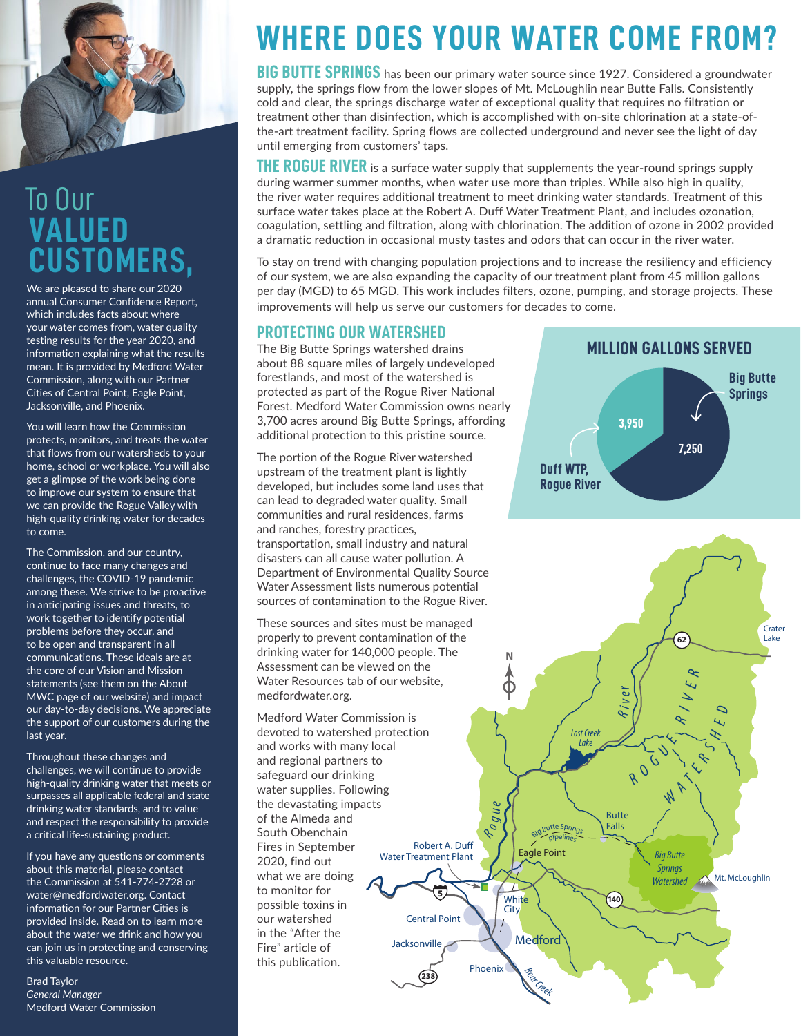

### **VALUED CUSTOMERS,** To Our

We are pleased to share our 2020 annual Consumer Confidence Report, which includes facts about where your water comes from, water quality testing results for the year 2020, and information explaining what the results mean. It is provided by Medford Water Commission, along with our Partner Cities of Central Point, Eagle Point, Jacksonville, and Phoenix.

You will learn how the Commission protects, monitors, and treats the water that flows from our watersheds to your home, school or workplace. You will also get a glimpse of the work being done to improve our system to ensure that we can provide the Rogue Valley with high-quality drinking water for decades to come.

The Commission, and our country, continue to face many changes and challenges, the COVID-19 pandemic among these. We strive to be proactive in anticipating issues and threats, to work together to identify potential problems before they occur, and to be open and transparent in all communications. These ideals are at the core of our Vision and Mission statements (see them on the About MWC page of our website) and impact our day-to-day decisions. We appreciate the support of our customers during the last year.

Throughout these changes and challenges, we will continue to provide high-quality drinking water that meets or surpasses all applicable federal and state drinking water standards, and to value and respect the responsibility to provide a critical life-sustaining product.

If you have any questions or comments about this material, please contact the Commission at 541-774-2728 or water@medfordwater.org. Contact information for our Partner Cities is provided inside. Read on to learn more about the water we drink and how you can join us in protecting and conserving this valuable resource.

Brad Taylor *General Manager* Medford Water Commission

## **WHERE DOES YOUR WATER COME FROM?**

**BIG BUTTE SPRINGS** has been our primary water source since 1927. Considered a groundwater supply, the springs flow from the lower slopes of Mt. McLoughlin near Butte Falls. Consistently cold and clear, the springs discharge water of exceptional quality that requires no filtration or treatment other than disinfection, which is accomplished with on-site chlorination at a state-ofthe-art treatment facility. Spring flows are collected underground and never see the light of day until emerging from customers' taps.

**THE ROGUE RIVER** is a surface water supply that supplements the year-round springs supply during warmer summer months, when water use more than triples. While also high in quality, the river water requires additional treatment to meet drinking water standards. Treatment of this surface water takes place at the Robert A. Duff Water Treatment Plant, and includes ozonation, coagulation, settling and filtration, along with chlorination. The addition of ozone in 2002 provided a dramatic reduction in occasional musty tastes and odors that can occur in the river water.

To stay on trend with changing population projections and to increase the resiliency and efficiency of our system, we are also expanding the capacity of our treatment plant from 45 million gallons per day (MGD) to 65 MGD. This work includes filters, ozone, pumping, and storage projects. These improvements will help us serve our customers for decades to come.

#### **PROTECTING OUR WATERSHED**

The Big Butte Springs watershed drains about 88 square miles of largely undeveloped forestlands, and most of the watershed is protected as part of the Rogue River National Forest. Medford Water Commission owns nearly 3,700 acres around Big Butte Springs, affording additional protection to this pristine source.

The portion of the Rogue River watershed upstream of the treatment plant is lightly developed, but includes some land uses that can lead to degraded water quality. Small communities and rural residences, farms and ranches, forestry practices, transportation, small industry and natural disasters can all cause water pollution. A Department of Environmental Quality Source Water Assessment lists numerous potential sources of contamination to the Rogue River.

These sources and sites must be managed properly to prevent contamination of the drinking water for 140,000 people. The Assessment can be viewed on the Water Resources tab of our website, [medfordwater.org](http://medfordwater.org).

Jacksonville Medford Water Commission is devoted to watershed protection and works with many local and regional partners to safeguard our drinking water supplies. Following the devastating impacts of the Almeda and South Obenchain Fires in September 2020, find out what we are doing to monitor for possible toxins in our watershed in the "After the Fire" article of this publication.

### **MILLION GALLONS SERVED**



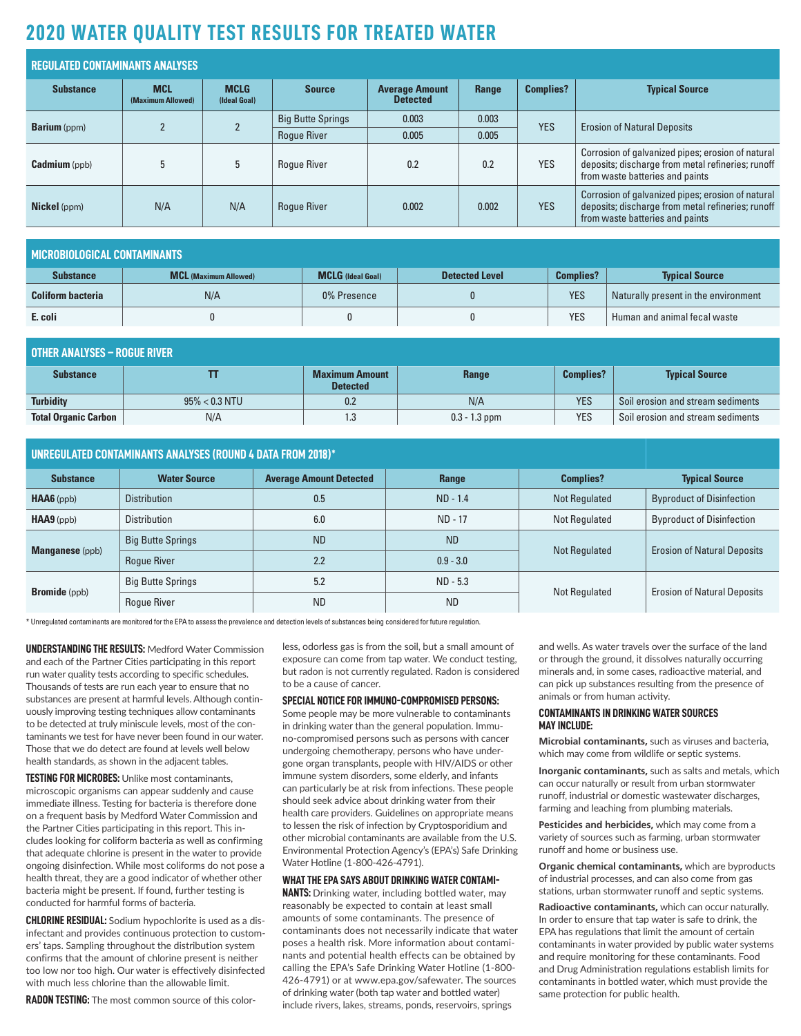### **2020 WATER QUALITY TEST RESULTS FOR TREATED WATER**

| <b>REGULATED CONTAMINANTS ANALYSES</b> |                                 |                             |                          |                                          |       |                  |                                                                                                                                           |  |
|----------------------------------------|---------------------------------|-----------------------------|--------------------------|------------------------------------------|-------|------------------|-------------------------------------------------------------------------------------------------------------------------------------------|--|
| <b>Substance</b>                       | <b>MCL</b><br>(Maximum Allowed) | <b>MCLG</b><br>(Ideal Goal) | <b>Source</b>            | <b>Average Amount</b><br><b>Detected</b> | Range | <b>Complies?</b> | <b>Typical Source</b>                                                                                                                     |  |
|                                        |                                 |                             | <b>Big Butte Springs</b> | 0.003                                    | 0.003 | <b>YES</b>       | <b>Erosion of Natural Deposits</b>                                                                                                        |  |
| <b>Barium</b> (ppm)                    |                                 |                             | <b>Roque River</b>       | 0.005                                    | 0.005 |                  |                                                                                                                                           |  |
| <b>Cadmium</b> (ppb)                   | 5                               |                             | <b>Roque River</b>       | 0.2                                      | 0.2   | <b>YES</b>       | Corrosion of galvanized pipes; erosion of natural<br>deposits; discharge from metal refineries; runoff<br>from waste batteries and paints |  |
| <b>Nickel</b> (ppm)                    | N/A                             | N/A                         | <b>Roque River</b>       | 0.002                                    | 0.002 | <b>YES</b>       | Corrosion of galvanized pipes; erosion of natural<br>deposits; discharge from metal refineries; runoff<br>from waste batteries and paints |  |

| MICROBIOLOGICAL CONTAMINANTS |                              |                          |                       |                  |                                      |  |  |
|------------------------------|------------------------------|--------------------------|-----------------------|------------------|--------------------------------------|--|--|
| <b>Substance</b>             | <b>MCL (Maximum Allowed)</b> | <b>MCLG</b> (Ideal Goal) | <b>Detected Level</b> | <b>Complies?</b> | <b>Typical Source</b>                |  |  |
| <b>Coliform bacteria</b>     | N/A                          | 0% Presence              |                       | <b>YES</b>       | Naturally present in the environment |  |  |
| E. coli                      |                              | 0                        |                       | <b>YES</b>       | Human and animal fecal waste         |  |  |

| <b>OTHER ANALYSES – ROGUE RIVER</b> |                  |                                          |                 |                  |                                   |  |  |
|-------------------------------------|------------------|------------------------------------------|-----------------|------------------|-----------------------------------|--|--|
| <b>Substance</b>                    |                  | <b>Maximum Amount</b><br><b>Detected</b> | Range           | <b>Complies?</b> | <b>Typical Source</b>             |  |  |
| <b>Turbidity</b>                    | $95\% < 0.3$ NTU | 0.2                                      | N/A             | <b>YES</b>       | Soil erosion and stream sediments |  |  |
| <b>Total Organic Carbon</b>         | N/A              | 1.3                                      | $0.3 - 1.3$ ppm | <b>YES</b>       | Soil erosion and stream sediments |  |  |

| <b>UNREGULATED CONTAMINANTS ANALYSES (ROUND 4 DATA FROM 2018)*</b> |                                                                                    |           |             |               |                                    |
|--------------------------------------------------------------------|------------------------------------------------------------------------------------|-----------|-------------|---------------|------------------------------------|
| <b>Substance</b>                                                   | <b>Water Source</b><br><b>Average Amount Detected</b><br><b>Complies?</b><br>Range |           |             |               | <b>Typical Source</b>              |
| $HAA6$ (ppb)                                                       | <b>Distribution</b>                                                                | 0.5       | $ND - 1.4$  | Not Regulated | <b>Byproduct of Disinfection</b>   |
| $HAA9$ (ppb)                                                       | <b>Distribution</b>                                                                | 6.0       | ND - 17     | Not Regulated | <b>Byproduct of Disinfection</b>   |
| <b>Manganese</b> (ppb)                                             | <b>Big Butte Springs</b>                                                           | <b>ND</b> | <b>ND</b>   |               | <b>Erosion of Natural Deposits</b> |
|                                                                    | <b>Roque River</b>                                                                 | 2.2       | $0.9 - 3.0$ | Not Regulated |                                    |
| <b>Bromide</b> (ppb)                                               | <b>Big Butte Springs</b><br>5.2<br><b>ND</b><br><b>Roque River</b>                 |           | $ND - 5.3$  |               | <b>Erosion of Natural Deposits</b> |
|                                                                    |                                                                                    |           | <b>ND</b>   | Not Regulated |                                    |

\* Unregulated contaminants are monitored for the EPA to assess the prevalence and detection levels of substances being considered for future regulation.

**UNDERSTANDING THE RESULTS:** Medford Water Commission and each of the Partner Cities participating in this report run water quality tests according to specific schedules. Thousands of tests are run each year to ensure that no substances are present at harmful levels. Although continuously improving testing techniques allow contaminants to be detected at truly miniscule levels, most of the contaminants we test for have never been found in our water. Those that we do detect are found at levels well below health standards, as shown in the adjacent tables.

**TESTING FOR MICROBES:** Unlike most contaminants, microscopic organisms can appear suddenly and cause immediate illness. Testing for bacteria is therefore done on a frequent basis by Medford Water Commission and the Partner Cities participating in this report. This includes looking for coliform bacteria as well as confirming that adequate chlorine is present in the water to provide ongoing disinfection. While most coliforms do not pose a health threat, they are a good indicator of whether other bacteria might be present. If found, further testing is conducted for harmful forms of bacteria.

**CHLORINE RESIDUAL:** Sodium hypochlorite is used as a disinfectant and provides continuous protection to customers' taps. Sampling throughout the distribution system confirms that the amount of chlorine present is neither too low nor too high. Our water is effectively disinfected with much less chlorine than the allowable limit.

**RADON TESTING:** The most common source of this color-

less, odorless gas is from the soil, but a small amount of exposure can come from tap water. We conduct testing, but radon is not currently regulated. Radon is considered to be a cause of cancer.

#### **SPECIAL NOTICE FOR IMMUNO-COMPROMISED PERSONS:**

Some people may be more vulnerable to contaminants in drinking water than the general population. Immuno-compromised persons such as persons with cancer undergoing chemotherapy, persons who have undergone organ transplants, people with HIV/AIDS or other immune system disorders, some elderly, and infants can particularly be at risk from infections. These people should seek advice about drinking water from their health care providers. Guidelines on appropriate means to lessen the risk of infection by Cryptosporidium and other microbial contaminants are available from the U.S. Environmental Protection Agency's (EPA's) Safe Drinking Water Hotline (1-800-426-4791).

#### **WHAT THE EPA SAYS ABOUT DRINKING WATER CONTAMI-**

**NANTS:** Drinking water, including bottled water, may reasonably be expected to contain at least small amounts of some contaminants. The presence of contaminants does not necessarily indicate that water poses a health risk. More information about contaminants and potential health effects can be obtained by calling the EPA's Safe Drinking Water Hotline (1-800- 426-4791) or at www.epa.gov/safewater. The sources of drinking water (both tap water and bottled water) include rivers, lakes, streams, ponds, reservoirs, springs

and wells. As water travels over the surface of the land or through the ground, it dissolves naturally occurring minerals and, in some cases, radioactive material, and can pick up substances resulting from the presence of animals or from human activity.

#### **CONTAMINANTS IN DRINKING WATER SOURCES MAY INCLUDE:**

**Microbial contaminants,** such as viruses and bacteria, which may come from wildlife or septic systems.

**Inorganic contaminants,** such as salts and metals, which can occur naturally or result from urban stormwater runoff, industrial or domestic wastewater discharges, farming and leaching from plumbing materials.

**Pesticides and herbicides,** which may come from a variety of sources such as farming, urban stormwater runoff and home or business use.

**Organic chemical contaminants,** which are byproducts of industrial processes, and can also come from gas stations, urban stormwater runoff and septic systems.

**Radioactive contaminants,** which can occur naturally. In order to ensure that tap water is safe to drink, the EPA has regulations that limit the amount of certain contaminants in water provided by public water systems and require monitoring for these contaminants. Food and Drug Administration regulations establish limits for contaminants in bottled water, which must provide the same protection for public health.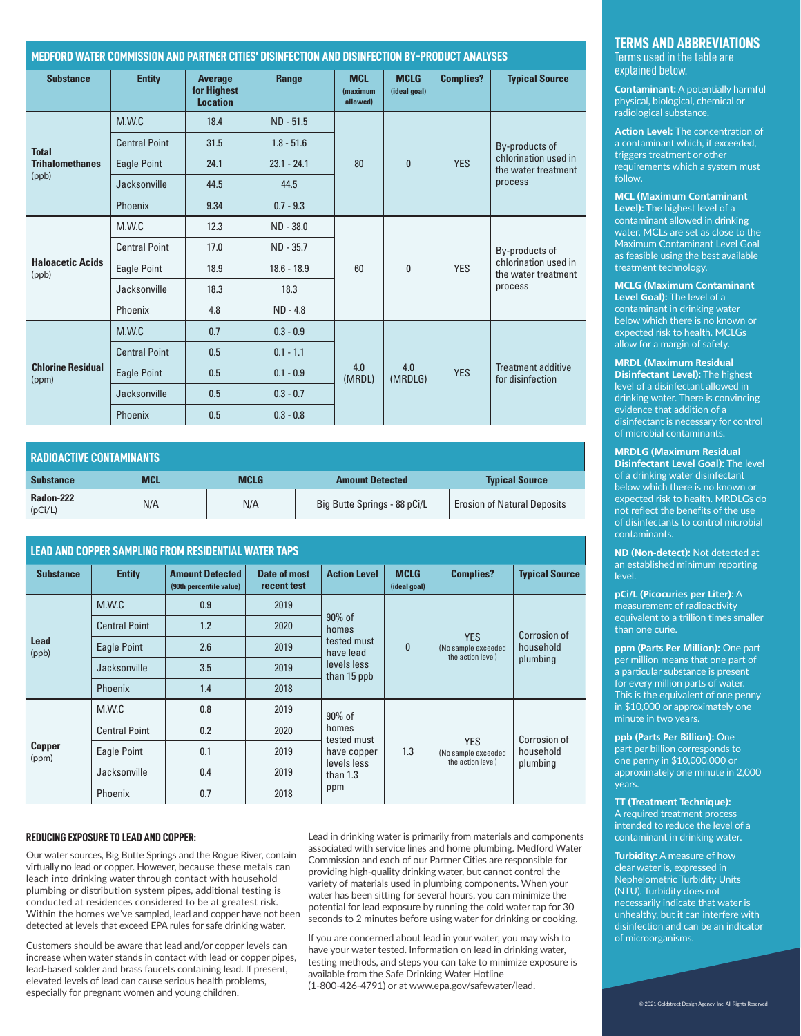#### **MEDFORD WATER COMMISSION AND PARTNER CITIES' DISINFECTION AND DISINFECTION BY-PRODUCT ANALYSES**

| <b>Substance</b>                  | <b>Entity</b>        | <b>Average</b><br>for Highest<br><b>Location</b> | Range         | <b>MCL</b><br>(maximum<br>allowed) | <b>MCLG</b><br>(ideal goal) | <b>Complies?</b> | <b>Typical Source</b>                                                    |
|-----------------------------------|----------------------|--------------------------------------------------|---------------|------------------------------------|-----------------------------|------------------|--------------------------------------------------------------------------|
|                                   | M.W.C                | 18.4                                             | $ND - 51.5$   |                                    | $\mathbf{0}$                | <b>YES</b>       | By-products of<br>chlorination used in<br>the water treatment<br>process |
| <b>Total</b>                      | <b>Central Point</b> | 31.5                                             | $1.8 - 51.6$  | 80                                 |                             |                  |                                                                          |
| <b>Trihalomethanes</b>            | <b>Eagle Point</b>   | 24.1                                             | $23.1 - 24.1$ |                                    |                             |                  |                                                                          |
| (ppb)                             | Jacksonville         | 44.5                                             | 44.5          |                                    |                             |                  |                                                                          |
|                                   | Phoenix              | 9.34                                             | $0.7 - 9.3$   |                                    |                             |                  |                                                                          |
|                                   | M.W.C                | 12.3                                             | ND - 38.0     | 60                                 | $\mathbf{0}$                | <b>YFS</b>       | By-products of<br>chlorination used in<br>the water treatment<br>process |
|                                   | <b>Central Point</b> | 17.0                                             | ND - 35.7     |                                    |                             |                  |                                                                          |
| <b>Haloacetic Acids</b><br>(ppb)  | Eagle Point          | 18.9                                             | $18.6 - 18.9$ |                                    |                             |                  |                                                                          |
|                                   | Jacksonville         | 18.3                                             | 18.3          |                                    |                             |                  |                                                                          |
|                                   | Phoenix              | 4.8                                              | $ND - 4.8$    |                                    |                             |                  |                                                                          |
| <b>Chlorine Residual</b><br>(ppm) | M.W.C                | 0.7                                              | $0.3 - 0.9$   |                                    | 4.0<br>(MRDLG)              | <b>YES</b>       | <b>Treatment additive</b><br>for disinfection                            |
|                                   | <b>Central Point</b> | 0.5                                              | $0.1 - 1.1$   | 4.0<br>(MRDL)                      |                             |                  |                                                                          |
|                                   | <b>Eagle Point</b>   | 0.5                                              | $0.1 - 0.9$   |                                    |                             |                  |                                                                          |
|                                   | Jacksonville         | 0.5                                              | $0.3 - 0.7$   |                                    |                             |                  |                                                                          |
|                                   | Phoenix              | 0.5                                              | $0.3 - 0.8$   |                                    |                             |                  |                                                                          |

| <b>RADIOACTIVE CONTAMINANTS</b> |            |             |                              |                                    |  |  |
|---------------------------------|------------|-------------|------------------------------|------------------------------------|--|--|
| <b>Substance</b>                | <b>MCL</b> | <b>MCLG</b> | <b>Amount Detected</b>       | <b>Typical Source</b>              |  |  |
| Radon-222<br>(pCi/L)            | N/A        | N/A         | Big Butte Springs - 88 pCi/L | <b>Erosion of Natural Deposits</b> |  |  |

#### **LEAD AND COPPER SAMPLING FROM RESIDENTIAL WATER TAPS**

| <b>Substance</b>       | <b>Entity</b>        | <b>Amount Detected</b><br>(90th percentile value) | Date of most<br>recent test | <b>Action Level</b>        | <b>MCLG</b><br>(ideal goal) | <b>Complies?</b>                                       | <b>Typical Source</b>                 |
|------------------------|----------------------|---------------------------------------------------|-----------------------------|----------------------------|-----------------------------|--------------------------------------------------------|---------------------------------------|
| <b>Lead</b><br>(ppb)   | M.W.C                | 0.9                                               | 2019                        |                            | $\Omega$                    | <b>YES</b><br>(No sample exceeded<br>the action level) | Corrosion of<br>household<br>plumbing |
|                        | <b>Central Point</b> | 1.2                                               | 2020                        | 90% of<br>homes            |                             |                                                        |                                       |
|                        | Eagle Point          | 2.6                                               | 2019                        | tested must<br>have lead   |                             |                                                        |                                       |
|                        | Jacksonville         | 3.5                                               | 2019                        | levels less<br>than 15 ppb |                             |                                                        |                                       |
|                        | Phoenix              | 1.4                                               | 2018                        |                            |                             |                                                        |                                       |
|                        | M.W.C                | 0.8                                               | 2019                        | 90% of                     | 1.3                         | <b>YES</b><br>(No sample exceeded<br>the action level) | Corrosion of<br>household<br>plumbing |
|                        | <b>Central Point</b> | 0.2                                               | 2020                        | homes<br>tested must       |                             |                                                        |                                       |
| <b>Copper</b><br>(ppm) | Eagle Point          | 0.1                                               | 2019                        | have copper                |                             |                                                        |                                       |
|                        | Jacksonville         | 0.4                                               | 2019                        | levels less<br>than $1.3$  |                             |                                                        |                                       |
|                        | Phoenix              | 0.7                                               | 2018                        | ppm                        |                             |                                                        |                                       |

#### **REDUCING EXPOSURE TO LEAD AND COPPER:**

Our water sources, Big Butte Springs and the Rogue River, contain virtually no lead or copper. However, because these metals can leach into drinking water through contact with household plumbing or distribution system pipes, additional testing is conducted at residences considered to be at greatest risk. Within the homes we've sampled, lead and copper have not been detected at levels that exceed EPA rules for safe drinking water.

Customers should be aware that lead and/or copper levels can increase when water stands in contact with lead or copper pipes, lead-based solder and brass faucets containing lead. If present, elevated levels of lead can cause serious health problems, especially for pregnant women and young children.

Lead in drinking water is primarily from materials and components associated with service lines and home plumbing. Medford Water Commission and each of our Partner Cities are responsible for providing high-quality drinking water, but cannot control the variety of materials used in plumbing components. When your water has been sitting for several hours, you can minimize the potential for lead exposure by running the cold water tap for 30 seconds to 2 minutes before using water for drinking or cooking.

If you are concerned about lead in your water, you may wish to have your water tested. Information on lead in drinking water, testing methods, and steps you can take to minimize exposure is available from the Safe Drinking Water Hotline (1-800-426-4791) or at www.epa.gov/safewater/lead.

#### **TERMS AND ABBREVIATIONS**

Terms used in the table are explained below.

**Contaminant:** A potentially harmful physical, biological, chemical or radiological substance.

**Action Level:** The concentration of a contaminant which, if exceeded, triggers treatment or other requirements which a system must follow.

**MCL (Maximum Contaminant Level):** The highest level of a contaminant allowed in drinking water. MCLs are set as close to the Maximum Contaminant Level Goal as feasible using the best available treatment technology.

**MCLG (Maximum Contaminant Level Goal):** The level of a contaminant in drinking water below which there is no known or expected risk to health. MCLGs allow for a margin of safety.

**MRDL (Maximum Residual Disinfectant Level):** The highest level of a disinfectant allowed in drinking water. There is convincing evidence that addition of a disinfectant is necessary for control of microbial contaminants.

**MRDLG (Maximum Residual Disinfectant Level Goal):** The level of a drinking water disinfectant below which there is no known or expected risk to health. MRDLGs do not reflect the benefits of the use of disinfectants to control microbial contaminants.

**ND (Non-detect):** Not detected at an established minimum reporting level.

**pCi/L (Picocuries per Liter):** A measurement of radioactivity equivalent to a trillion times smaller than one curie.

**ppm (Parts Per Million):** One part per million means that one part of a particular substance is present for every million parts of water. This is the equivalent of one penny in \$10,000 or approximately one minute in two years.

**ppb (Parts Per Billion):** One part per billion corresponds to one penny in \$10,000,000 or approximately one minute in 2,000 years.

**TT (Treatment Technique):** A required treatment process intended to reduce the level of a contaminant in drinking water.

**Turbidity:** A measure of how clear water is, expressed in Nephelometric Turbidity Units (NTU). Turbidity does not necessarily indicate that water is unhealthy, but it can interfere with disinfection and can be an indicator of microorganisms.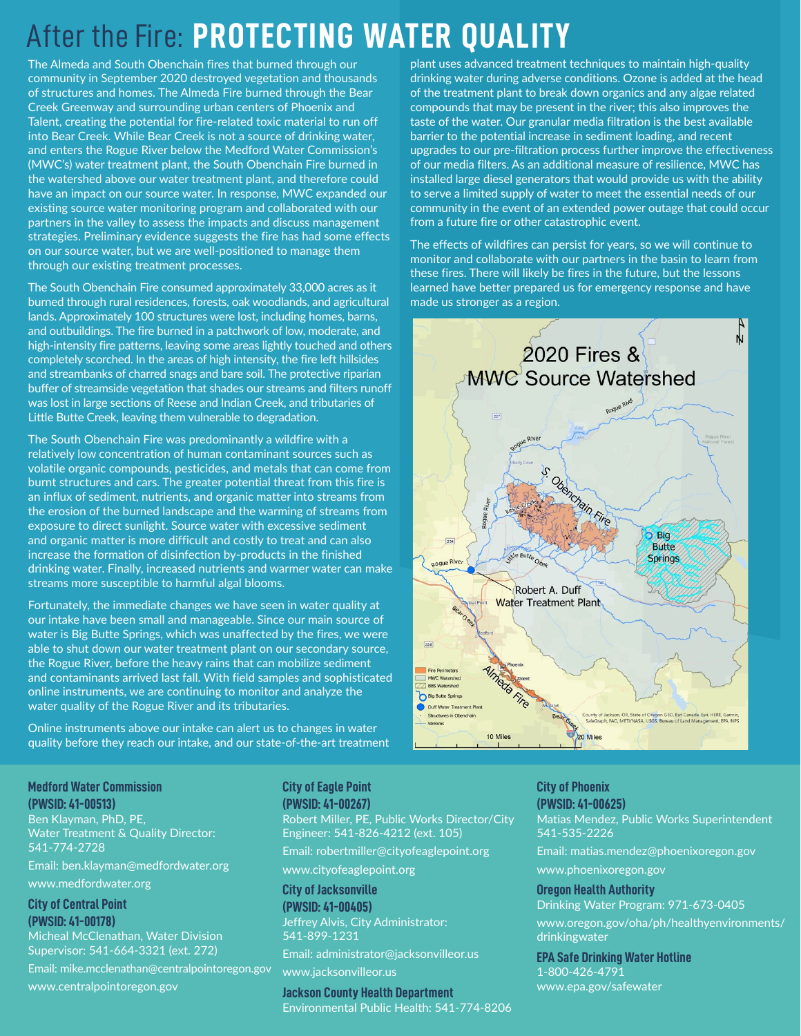## After the Fire: **PROTECTING WATER QUALITY**

The Almeda and South Obenchain fires that burned through our community in September 2020 destroyed vegetation and thousands of structures and homes. The Almeda Fire burned through the Bear Creek Greenway and surrounding urban centers of Phoenix and Talent, creating the potential for fire-related toxic material to run off into Bear Creek. While Bear Creek is not a source of drinking water, and enters the Rogue River below the Medford Water Commission's (MWC's) water treatment plant, the South Obenchain Fire burned in the watershed above our water treatment plant, and therefore could have an impact on our source water. In response, MWC expanded our existing source water monitoring program and collaborated with our partners in the valley to assess the impacts and discuss management strategies. Preliminary evidence suggests the fire has had some effects on our source water, but we are well-positioned to manage them through our existing treatment processes.

The South Obenchain Fire consumed approximately 33,000 acres as it burned through rural residences, forests, oak woodlands, and agricultural lands. Approximately 100 structures were lost, including homes, barns, and outbuildings. The fire burned in a patchwork of low, moderate, and high-intensity fire patterns, leaving some areas lightly touched and others completely scorched. In the areas of high intensity, the fire left hillsides and streambanks of charred snags and bare soil. The protective riparian buffer of streamside vegetation that shades our streams and filters runoff was lost in large sections of Reese and Indian Creek, and tributaries of Little Butte Creek, leaving them vulnerable to degradation.

The South Obenchain Fire was predominantly a wildfire with a relatively low concentration of human contaminant sources such as volatile organic compounds, pesticides, and metals that can come from burnt structures and cars. The greater potential threat from this fire is an influx of sediment, nutrients, and organic matter into streams from the erosion of the burned landscape and the warming of streams from exposure to direct sunlight. Source water with excessive sediment and organic matter is more difficult and costly to treat and can also increase the formation of disinfection by-products in the finished drinking water. Finally, increased nutrients and warmer water can make streams more susceptible to harmful algal blooms.

Fortunately, the immediate changes we have seen in water quality at our intake have been small and manageable. Since our main source of water is Big Butte Springs, which was unaffected by the fires, we were able to shut down our water treatment plant on our secondary source, the Rogue River, before the heavy rains that can mobilize sediment and contaminants arrived last fall. With field samples and sophisticated online instruments, we are continuing to monitor and analyze the water quality of the Rogue River and its tributaries.

Online instruments above our intake can alert us to changes in water quality before they reach our intake, and our state-of-the-art treatment

plant uses advanced treatment techniques to maintain high-quality drinking water during adverse conditions. Ozone is added at the head of the treatment plant to break down organics and any algae related compounds that may be present in the river; this also improves the taste of the water. Our granular media filtration is the best available barrier to the potential increase in sediment loading, and recent upgrades to our pre-filtration process further improve the effectiveness of our media filters. As an additional measure of resilience, MWC has installed large diesel generators that would provide us with the ability to serve a limited supply of water to meet the essential needs of our community in the event of an extended power outage that could occur from a future fire or other catastrophic event.

The effects of wildfires can persist for years, so we will continue to monitor and collaborate with our partners in the basin to learn from these fires. There will likely be fires in the future, but the lessons learned have better prepared us for emergency response and have made us stronger as a region.



**Medford Water Commission (PWSID: 41-00513)**

Ben Klayman, PhD, PE, Water Treatment & Quality Director: 541-774-2728

Email: ben.klayman@medfordwater.org [www.medfordwater.org](http://www.medfordwater.org)

**City of Central Point (PWSID: 41-00178)**

Micheal McClenathan, Water Division Supervisor: 541-664-3321 (ext. 272) Email: mike.mcclenathan@centralpointoregon.gov www.centralpointoregon.gov

#### **City of Eagle Point (PWSID: 41-00267)**

Robert Miller, PE, Public Works Director/City Engineer: 541-826-4212 (ext. 105) Email: robertmiller@cityofeaglepoint.org [www.cityofeaglepoint.org](http://www.cityofeaglepoint.org)

**City of Jacksonville (PWSID: 41-00405)**

Jeffrey Alvis, City Administrator: 541-899-1231

Email: administrator@jacksonvilleor.us

[www.jacksonvilleor.us](http://www.jacksonvilleor.us)

**Jackson County Health Department** Environmental Public Health: 541-774-8206 **City of Phoenix** 

**(PWSID: 41-00625)** Matias Mendez, Public Works Superintendent 541-535-2226 Email: matias.mendez@phoenixoregon.gov [www.phoenixoregon.gov](http://www.phoenixoregon.gov)

**Oregon Health Authority** Drinking Water Program: 971-673-0405 [www.oregon.gov/oha/ph/healthyenvironments/](http://www.oregon.gov/oha/ph/healthyenvironments/drinkingwater) [drinkingwater](http://www.oregon.gov/oha/ph/healthyenvironments/drinkingwater)

**EPA Safe Drinking Water Hotline** 1-800-426-4791 www.epa.gov/safewater